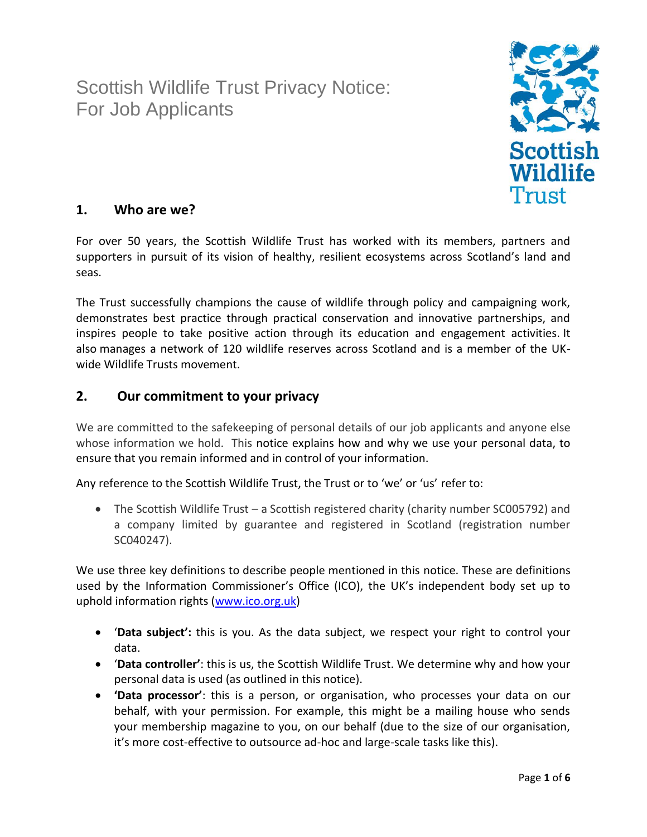Scottish Wildlife Trust Privacy Notice: For Job Applicants



# **1. Who are we?**

For over 50 years, the Scottish Wildlife Trust has worked with its members, partners and supporters in pursuit of its vision of healthy, resilient ecosystems across Scotland's land and seas.

The Trust successfully champions the cause of wildlife through policy and campaigning work, demonstrates best practice through practical conservation and innovative partnerships, and inspires people to take positive action through its education and engagement activities. It also manages a network of 120 wildlife reserves across Scotland and is a member of the UKwide Wildlife Trusts movement.

# **2. Our commitment to your privacy**

We are committed to the safekeeping of personal details of our job applicants and anyone else whose information we hold. This notice explains how and why we use your personal data, to ensure that you remain informed and in control of your information.

Any reference to the Scottish Wildlife Trust, the Trust or to 'we' or 'us' refer to:

• The Scottish Wildlife Trust – a Scottish registered charity (charity number SC005792) and a company limited by guarantee and registered in Scotland (registration number SC040247).

We use three key definitions to describe people mentioned in this notice. These are definitions used by the Information Commissioner's Office (ICO), the UK's independent body set up to uphold information rights [\(www.ico.org.uk\)](http://www.ico.org.uk/)

- '**Data subject':** this is you. As the data subject, we respect your right to control your data.
- '**Data controller'**: this is us, the Scottish Wildlife Trust. We determine why and how your personal data is used (as outlined in this notice).
- **'Data processor'**: this is a person, or organisation, who processes your data on our behalf, with your permission. For example, this might be a mailing house who sends your membership magazine to you, on our behalf (due to the size of our organisation, it's more cost-effective to outsource ad-hoc and large-scale tasks like this).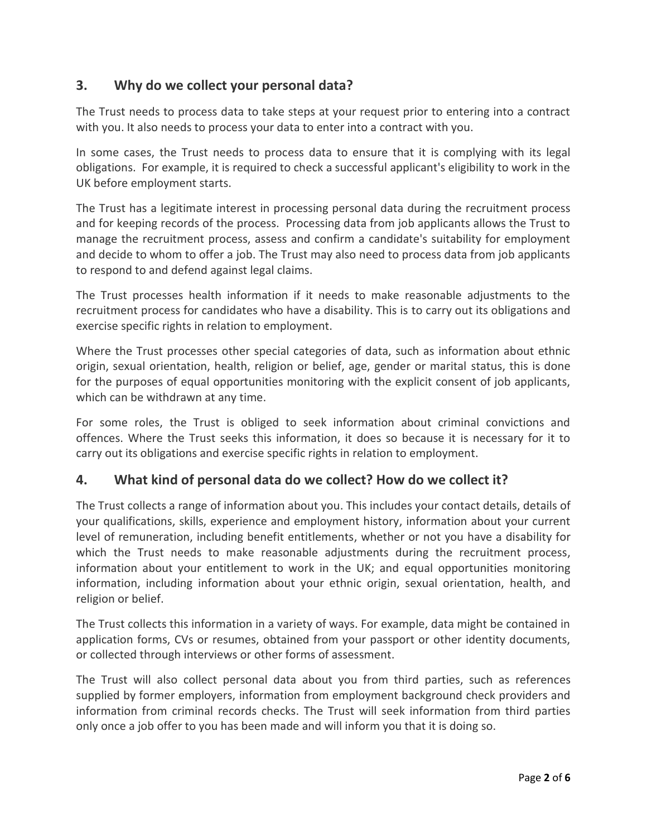# **3. Why do we collect your personal data?**

The Trust needs to process data to take steps at your request prior to entering into a contract with you. It also needs to process your data to enter into a contract with you.

In some cases, the Trust needs to process data to ensure that it is complying with its legal obligations. For example, it is required to check a successful applicant's eligibility to work in the UK before employment starts.

The Trust has a legitimate interest in processing personal data during the recruitment process and for keeping records of the process. Processing data from job applicants allows the Trust to manage the recruitment process, assess and confirm a candidate's suitability for employment and decide to whom to offer a job. The Trust may also need to process data from job applicants to respond to and defend against legal claims.

The Trust processes health information if it needs to make reasonable adjustments to the recruitment process for candidates who have a disability. This is to carry out its obligations and exercise specific rights in relation to employment.

Where the Trust processes other special categories of data, such as information about ethnic origin, sexual orientation, health, religion or belief, age, gender or marital status, this is done for the purposes of equal opportunities monitoring with the explicit consent of job applicants, which can be withdrawn at any time.

For some roles, the Trust is obliged to seek information about criminal convictions and offences. Where the Trust seeks this information, it does so because it is necessary for it to carry out its obligations and exercise specific rights in relation to employment.

# **4. What kind of personal data do we collect? How do we collect it?**

The Trust collects a range of information about you. This includes your contact details, details of your qualifications, skills, experience and employment history, information about your current level of remuneration, including benefit entitlements, whether or not you have a disability for which the Trust needs to make reasonable adjustments during the recruitment process, information about your entitlement to work in the UK; and equal opportunities monitoring information, including information about your ethnic origin, sexual orientation, health, and religion or belief.

The Trust collects this information in a variety of ways. For example, data might be contained in application forms, CVs or resumes, obtained from your passport or other identity documents, or collected through interviews or other forms of assessment.

The Trust will also collect personal data about you from third parties, such as references supplied by former employers, information from employment background check providers and information from criminal records checks. The Trust will seek information from third parties only once a job offer to you has been made and will inform you that it is doing so.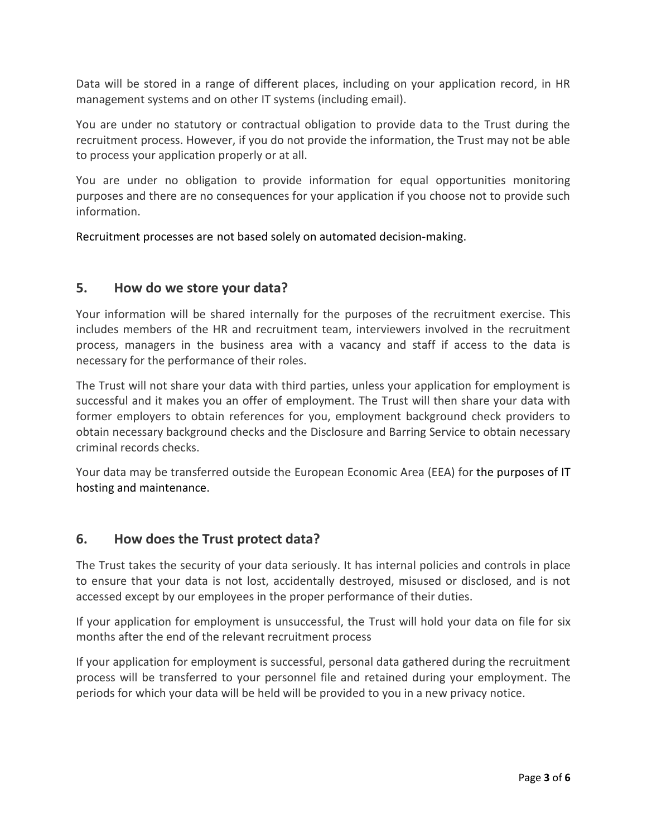Data will be stored in a range of different places, including on your application record, in HR management systems and on other IT systems (including email).

You are under no statutory or contractual obligation to provide data to the Trust during the recruitment process. However, if you do not provide the information, the Trust may not be able to process your application properly or at all.

You are under no obligation to provide information for equal opportunities monitoring purposes and there are no consequences for your application if you choose not to provide such information.

Recruitment processes are not based solely on automated decision-making.

### **5. How do we store your data?**

Your information will be shared internally for the purposes of the recruitment exercise. This includes members of the HR and recruitment team, interviewers involved in the recruitment process, managers in the business area with a vacancy and staff if access to the data is necessary for the performance of their roles.

The Trust will not share your data with third parties, unless your application for employment is successful and it makes you an offer of employment. The Trust will then share your data with former employers to obtain references for you, employment background check providers to obtain necessary background checks and the Disclosure and Barring Service to obtain necessary criminal records checks.

Your data may be transferred outside the European Economic Area (EEA) for the purposes of IT hosting and maintenance.

## **6. How does the Trust protect data?**

The Trust takes the security of your data seriously. It has internal policies and controls in place to ensure that your data is not lost, accidentally destroyed, misused or disclosed, and is not accessed except by our employees in the proper performance of their duties.

If your application for employment is unsuccessful, the Trust will hold your data on file for six months after the end of the relevant recruitment process

If your application for employment is successful, personal data gathered during the recruitment process will be transferred to your personnel file and retained during your employment. The periods for which your data will be held will be provided to you in a new privacy notice*.*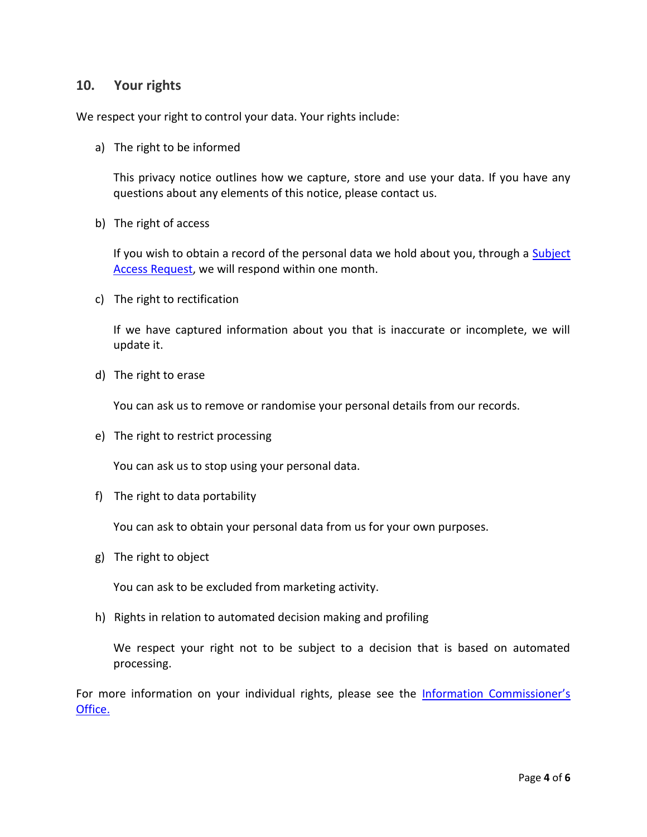### **10. Your rights**

We respect your right to control your data. Your rights include:

a) The right to be informed

This privacy notice outlines how we capture, store and use your data. If you have any questions about any elements of this notice, please contact us.

b) The right of access

If you wish to obtain a record of the personal data we hold about you, through a Subject [Access Request,](https://ico.org.uk/for-organisations/guide-to-data-protection/principle-6-rights/subject-access-request/) we will respond within one month.

c) The right to rectification

If we have captured information about you that is inaccurate or incomplete, we will update it.

d) The right to erase

You can ask us to remove or randomise your personal details from our records.

e) The right to restrict processing

You can ask us to stop using your personal data.

f) The right to data portability

You can ask to obtain your personal data from us for your own purposes.

g) The right to object

You can ask to be excluded from marketing activity.

h) Rights in relation to automated decision making and profiling

We respect your right not to be subject to a decision that is based on automated processing.

For more information on your individual rights, please see the Information Commissioner's [Office.](https://ico.org.uk/for-organisations/guide-to-the-general-data-protection-regulation-gdpr/individual-rights/)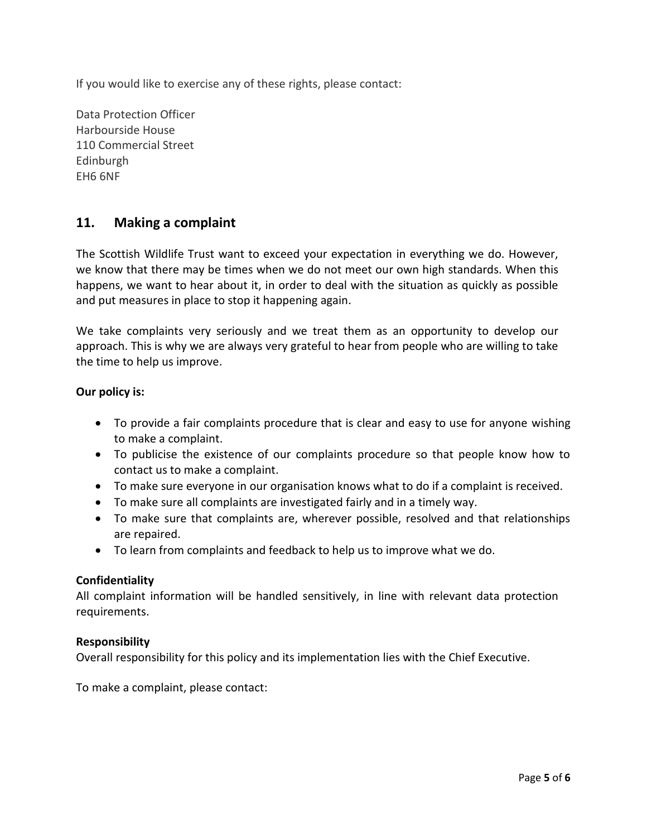If you would like to exercise any of these rights, please contact:

Data Protection Officer Harbourside House 110 Commercial Street Edinburgh EH6 6NF

### **11. Making a complaint**

The Scottish Wildlife Trust want to exceed your expectation in everything we do. However, we know that there may be times when we do not meet our own high standards. When this happens, we want to hear about it, in order to deal with the situation as quickly as possible and put measures in place to stop it happening again.

We take complaints very seriously and we treat them as an opportunity to develop our approach. This is why we are always very grateful to hear from people who are willing to take the time to help us improve.

### **Our policy is:**

- To provide a fair complaints procedure that is clear and easy to use for anyone wishing to make a complaint.
- To publicise the existence of our complaints procedure so that people know how to contact us to make a complaint.
- To make sure everyone in our organisation knows what to do if a complaint is received.
- To make sure all complaints are investigated fairly and in a timely way.
- To make sure that complaints are, wherever possible, resolved and that relationships are repaired.
- To learn from complaints and feedback to help us to improve what we do.

#### **Confidentiality**

All complaint information will be handled sensitively, in line with relevant data protection requirements.

#### **Responsibility**

Overall responsibility for this policy and its implementation lies with the Chief Executive.

To make a complaint, please contact: